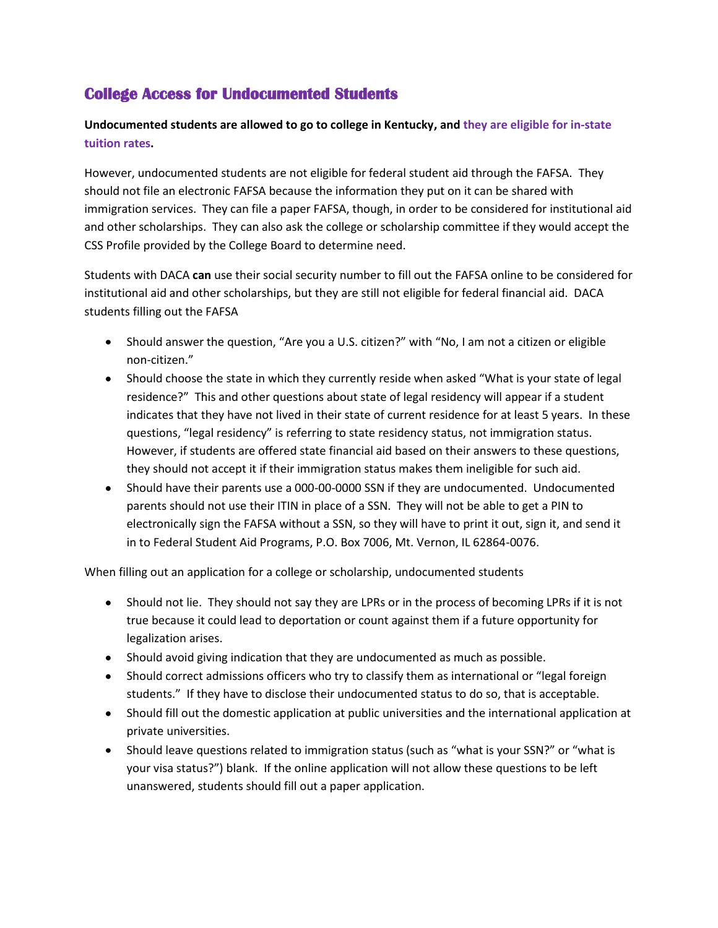## **College Access for Undocumented Students**

## **Undocumented students are allowed to go to college in Kentucky, and they are eligible for in-state tuition rates.**

However, undocumented students are not eligible for federal student aid through the FAFSA. They should not file an electronic FAFSA because the information they put on it can be shared with immigration services. They can file a paper FAFSA, though, in order to be considered for institutional aid and other scholarships. They can also ask the college or scholarship committee if they would accept the CSS Profile provided by the College Board to determine need.

Students with DACA **can** use their social security number to fill out the FAFSA online to be considered for institutional aid and other scholarships, but they are still not eligible for federal financial aid. DACA students filling out the FAFSA

- Should answer the question, "Are you a U.S. citizen?" with "No, I am not a citizen or eligible non-citizen."
- Should choose the state in which they currently reside when asked "What is your state of legal residence?" This and other questions about state of legal residency will appear if a student indicates that they have not lived in their state of current residence for at least 5 years. In these questions, "legal residency" is referring to state residency status, not immigration status. However, if students are offered state financial aid based on their answers to these questions, they should not accept it if their immigration status makes them ineligible for such aid.
- Should have their parents use a 000-00-0000 SSN if they are undocumented. Undocumented parents should not use their ITIN in place of a SSN. They will not be able to get a PIN to electronically sign the FAFSA without a SSN, so they will have to print it out, sign it, and send it in to Federal Student Aid Programs, P.O. Box 7006, Mt. Vernon, IL 62864-0076.

When filling out an application for a college or scholarship, undocumented students

- Should not lie. They should not say they are LPRs or in the process of becoming LPRs if it is not true because it could lead to deportation or count against them if a future opportunity for legalization arises.
- Should avoid giving indication that they are undocumented as much as possible.
- Should correct admissions officers who try to classify them as international or "legal foreign students." If they have to disclose their undocumented status to do so, that is acceptable.
- Should fill out the domestic application at public universities and the international application at private universities.
- Should leave questions related to immigration status (such as "what is your SSN?" or "what is your visa status?") blank. If the online application will not allow these questions to be left unanswered, students should fill out a paper application.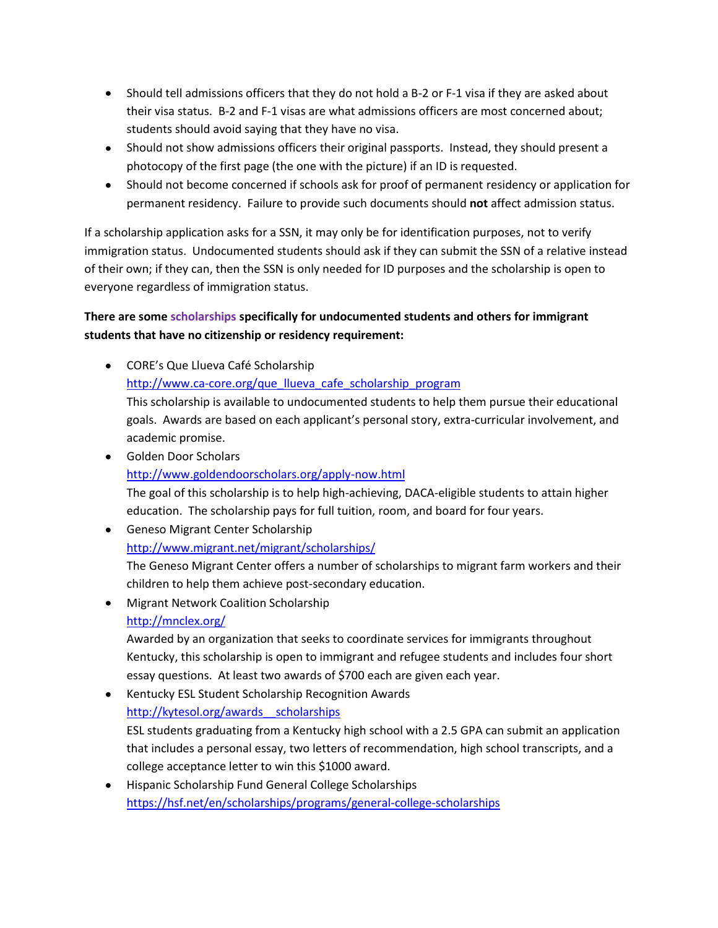- Should tell admissions officers that they do not hold a B-2 or F-1 visa if they are asked about their visa status. B-2 and F-1 visas are what admissions officers are most concerned about; students should avoid saying that they have no visa.
- Should not show admissions officers their original passports. Instead, they should present a photocopy of the first page (the one with the picture) if an ID is requested.
- Should not become concerned if schools ask for proof of permanent residency or application for permanent residency. Failure to provide such documents should **not** affect admission status.

If a scholarship application asks for a SSN, it may only be for identification purposes, not to verify immigration status. Undocumented students should ask if they can submit the SSN of a relative instead of their own; if they can, then the SSN is only needed for ID purposes and the scholarship is open to everyone regardless of immigration status.

## **There are some scholarships specifically for undocumented students and others for immigrant students that have no citizenship or residency requirement:**

- CORE's Que Llueva Café Scholarship [http://www.ca-core.org/que\\_llueva\\_cafe\\_scholarship\\_program](http://www.ca-core.org/que_llueva_cafe_scholarship_program) This scholarship is available to undocumented students to help them pursue their educational goals. Awards are based on each applicant's personal story, extra-curricular involvement, and academic promise.
- Golden Door Scholars <http://www.goldendoorscholars.org/apply-now.html> The goal of this scholarship is to help high-achieving, DACA-eligible students to attain higher education. The scholarship pays for full tuition, room, and board for four years.
- Geneso Migrant Center Scholarship <http://www.migrant.net/migrant/scholarships/> The Geneso Migrant Center offers a number of scholarships to migrant farm workers and their children to help them achieve post-secondary education.
- Migrant Network Coalition Scholarship <http://mnclex.org/>

Awarded by an organization that seeks to coordinate services for immigrants throughout Kentucky, this scholarship is open to immigrant and refugee students and includes four short essay questions. At least two awards of \$700 each are given each year.

**• Kentucky ESL Student Scholarship Recognition Awards** [http://kytesol.org/awards\\_\\_scholarships](http://kytesol.org/awards__scholarships)

ESL students graduating from a Kentucky high school with a 2.5 GPA can submit an application that includes a personal essay, two letters of recommendation, high school transcripts, and a college acceptance letter to win this \$1000 award.

Hispanic Scholarship Fund General College Scholarships <https://hsf.net/en/scholarships/programs/general-college-scholarships>